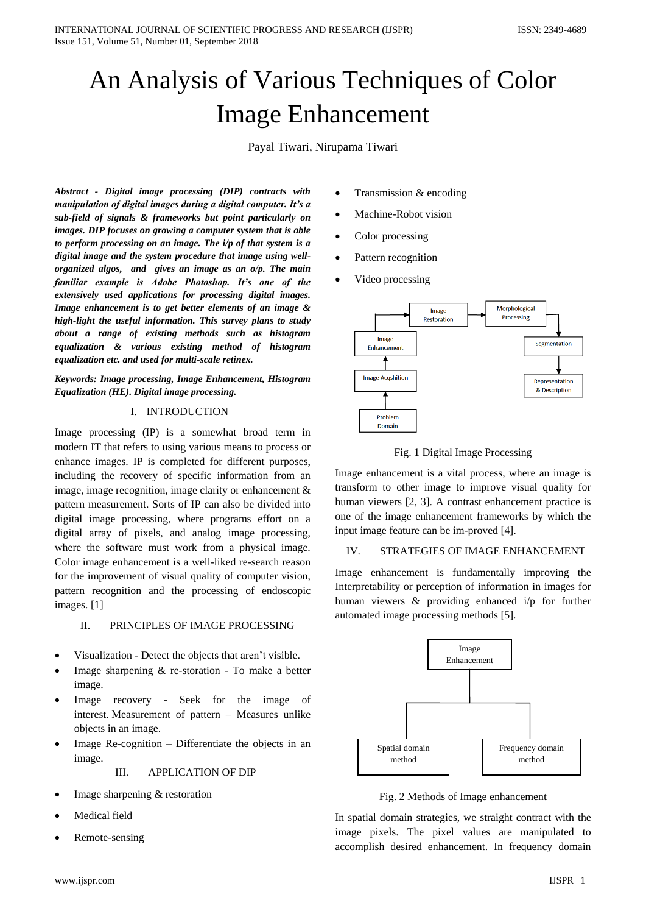# An Analysis of Various Techniques of Color Image Enhancement

Payal Tiwari, Nirupama Tiwari

*Abstract - Digital image processing (DIP) contracts with manipulation of digital images during a digital computer. It's a sub-field of signals & frameworks but point particularly on images. DIP focuses on growing a computer system that is able to perform processing on an image. The i/p of that system is a digital image and the system procedure that image using wellorganized algos, and gives an image as an o/p. The main familiar example is Adobe Photoshop. It's one of the extensively used applications for processing digital images. Image enhancement is to get better elements of an image & high-light the useful information. This survey plans to study about a range of existing methods such as histogram equalization & various existing method of histogram equalization etc. and used for multi-scale retinex.*

*Keywords: Image processing, Image Enhancement, Histogram Equalization (HE). Digital image processing.*

#### I. INTRODUCTION

Image processing (IP) is a somewhat broad term in modern IT that refers to using various means to process or enhance images. IP is completed for different purposes, including the recovery of specific information from an image, image recognition, image clarity or enhancement & pattern measurement. Sorts of IP can also be divided into digital image processing, where programs effort on a digital array of pixels, and analog image processing, where the software must work from a physical image. Color image enhancement is a well-liked re-search reason for the improvement of visual quality of computer vision, pattern recognition and the processing of endoscopic images. [1]

#### II. PRINCIPLES OF IMAGE PROCESSING

- Visualization Detect the objects that aren"t visible.
- Image sharpening & re-storation To make a better image.
- Image recovery Seek for the image of interest. Measurement of pattern – Measures unlike objects in an image.
- Image Re-cognition Differentiate the objects in an image.

III. APPLICATION OF DIP

- Image sharpening & restoration
- Medical field
- Remote-sensing
- Transmission & encoding
- Machine-Robot vision
- Color processing
- Pattern recognition
- Video processing



Fig. 1 Digital Image Processing

Image enhancement is a vital process, where an image is transform to other image to improve visual quality for human viewers [2, 3]. A contrast enhancement practice is one of the image enhancement frameworks by which the input image feature can be im-proved [4].

#### IV. STRATEGIES OF IMAGE ENHANCEMENT

Image enhancement is fundamentally improving the Interpretability or perception of information in images for human viewers & providing enhanced i/p for further automated image processing methods [5].



Fig. 2 Methods of Image enhancement

In spatial domain strategies, we straight contract with the image pixels. The pixel values are manipulated to accomplish desired enhancement. In frequency domain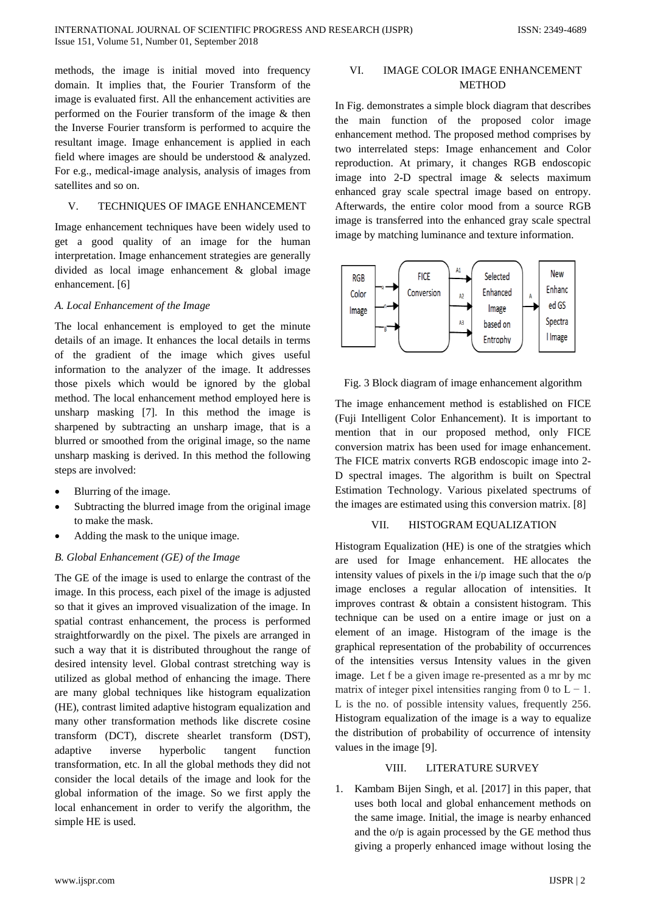methods, the image is initial moved into frequency domain. It implies that, the Fourier Transform of the image is evaluated first. All the enhancement activities are performed on the Fourier transform of the image & then the Inverse Fourier transform is performed to acquire the resultant image. Image enhancement is applied in each field where images are should be understood & analyzed. For e.g., medical-image analysis, analysis of images from satellites and so on.

#### V. TECHNIQUES OF IMAGE ENHANCEMENT

Image enhancement techniques have been widely used to get a good quality of an image for the human interpretation. Image enhancement strategies are generally divided as local image enhancement & global image enhancement. [6]

### *A. Local Enhancement of the Image*

The local enhancement is employed to get the minute details of an image. It enhances the local details in terms of the gradient of the image which gives useful information to the analyzer of the image. It addresses those pixels which would be ignored by the global method. The local enhancement method employed here is unsharp masking [7]. In this method the image is sharpened by subtracting an unsharp image, that is a blurred or smoothed from the original image, so the name unsharp masking is derived. In this method the following steps are involved:

- Blurring of the image.
- Subtracting the blurred image from the original image to make the mask.
- Adding the mask to the unique image.

#### *B. Global Enhancement (GE) of the Image*

The GE of the image is used to enlarge the contrast of the image. In this process, each pixel of the image is adjusted so that it gives an improved visualization of the image. In spatial contrast enhancement, the process is performed straightforwardly on the pixel. The pixels are arranged in such a way that it is distributed throughout the range of desired intensity level. Global contrast stretching way is utilized as global method of enhancing the image. There are many global techniques like histogram equalization (HE), contrast limited adaptive histogram equalization and many other transformation methods like discrete cosine transform (DCT), discrete shearlet transform (DST), adaptive inverse hyperbolic tangent function transformation, etc. In all the global methods they did not consider the local details of the image and look for the global information of the image. So we first apply the local enhancement in order to verify the algorithm, the simple HE is used.

### VI. IMAGE COLOR IMAGE ENHANCEMENT METHOD

In Fig. demonstrates a simple block diagram that describes the main function of the proposed color image enhancement method. The proposed method comprises by two interrelated steps: Image enhancement and Color reproduction. At primary, it changes RGB endoscopic image into 2-D spectral image & selects maximum enhanced gray scale spectral image based on entropy. Afterwards, the entire color mood from a source RGB image is transferred into the enhanced gray scale spectral image by matching luminance and texture information.



Fig. 3 Block diagram of image enhancement algorithm

The image enhancement method is established on FICE (Fuji Intelligent Color Enhancement). It is important to mention that in our proposed method, only FICE conversion matrix has been used for image enhancement. The FICE matrix converts RGB endoscopic image into 2- D spectral images. The algorithm is built on Spectral Estimation Technology. Various pixelated spectrums of the images are estimated using this conversion matrix. [8]

## VII. HISTOGRAM EQUALIZATION

Histogram Equalization (HE) is one of the stratgies which are used for Image enhancement. HE allocates the intensity values of pixels in the i/p image such that the o/p image encloses a regular allocation of intensities. It improves contrast & obtain a consistent histogram. This technique can be used on a entire image or just on a element of an image. Histogram of the image is the graphical representation of the probability of occurrences of the intensities versus Intensity values in the given image. Let f be a given image re-presented as a mr by mc matrix of integer pixel intensities ranging from 0 to  $L - 1$ . L is the no. of possible intensity values, frequently 256. Histogram equalization of the image is a way to equalize the distribution of probability of occurrence of intensity values in the image [9].

#### VIII. LITERATURE SURVEY

1. Kambam Bijen Singh, et al. [2017] in this paper, that uses both local and global enhancement methods on the same image. Initial, the image is nearby enhanced and the o/p is again processed by the GE method thus giving a properly enhanced image without losing the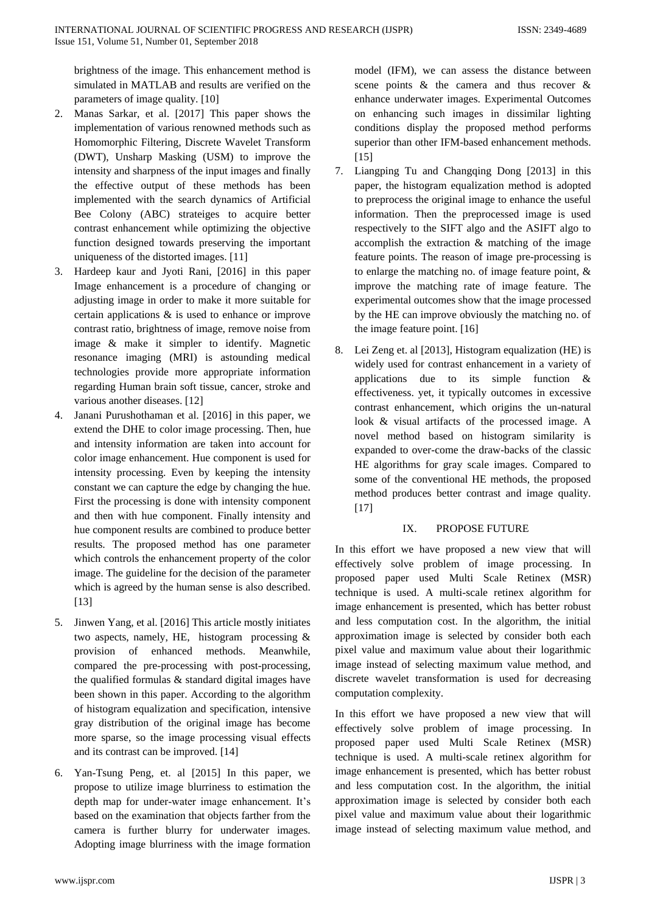brightness of the image. This enhancement method is simulated in MATLAB and results are verified on the parameters of image quality. [10]

- 2. Manas Sarkar, et al. [2017] This paper shows the implementation of various renowned methods such as Homomorphic Filtering, Discrete Wavelet Transform (DWT), Unsharp Masking (USM) to improve the intensity and sharpness of the input images and finally the effective output of these methods has been implemented with the search dynamics of Artificial Bee Colony (ABC) strateiges to acquire better contrast enhancement while optimizing the objective function designed towards preserving the important uniqueness of the distorted images. [11]
- 3. Hardeep kaur and Jyoti Rani, [2016] in this paper Image enhancement is a procedure of changing or adjusting image in order to make it more suitable for certain applications & is used to enhance or improve contrast ratio, brightness of image, remove noise from image & make it simpler to identify. Magnetic resonance imaging (MRI) is astounding medical technologies provide more appropriate information regarding Human brain soft tissue, cancer, stroke and various another diseases. [12]
- 4. Janani Purushothaman et al. [2016] in this paper, we extend the DHE to color image processing. Then, hue and intensity information are taken into account for color image enhancement. Hue component is used for intensity processing. Even by keeping the intensity constant we can capture the edge by changing the hue. First the processing is done with intensity component and then with hue component. Finally intensity and hue component results are combined to produce better results. The proposed method has one parameter which controls the enhancement property of the color image. The guideline for the decision of the parameter which is agreed by the human sense is also described. [13]
- 5. Jinwen Yang, et al. [2016] This article mostly initiates two aspects, namely, HE, histogram processing & provision of enhanced methods. Meanwhile, compared the pre-processing with post-processing, the qualified formulas & standard digital images have been shown in this paper. According to the algorithm of histogram equalization and specification, intensive gray distribution of the original image has become more sparse, so the image processing visual effects and its contrast can be improved. [14]
- 6. Yan-Tsung Peng, et. al [2015] In this paper, we propose to utilize image blurriness to estimation the depth map for under-water image enhancement. It's based on the examination that objects farther from the camera is further blurry for underwater images. Adopting image blurriness with the image formation

model (IFM), we can assess the distance between scene points & the camera and thus recover & enhance underwater images. Experimental Outcomes on enhancing such images in dissimilar lighting conditions display the proposed method performs superior than other IFM-based enhancement methods.  $[15]$ 

- 7. Liangping Tu and Changqing Dong [2013] in this paper, the histogram equalization method is adopted to preprocess the original image to enhance the useful information. Then the preprocessed image is used respectively to the SIFT algo and the ASIFT algo to accomplish the extraction & matching of the image feature points. The reason of image pre-processing is to enlarge the matching no. of image feature point, & improve the matching rate of image feature. The experimental outcomes show that the image processed by the HE can improve obviously the matching no. of the image feature point. [16]
- 8. Lei Zeng et. al [2013], Histogram equalization (HE) is widely used for contrast enhancement in a variety of applications due to its simple function & effectiveness. yet, it typically outcomes in excessive contrast enhancement, which origins the un-natural look & visual artifacts of the processed image. A novel method based on histogram similarity is expanded to over-come the draw-backs of the classic HE algorithms for gray scale images. Compared to some of the conventional HE methods, the proposed method produces better contrast and image quality.  $[17]$

### IX. PROPOSE FUTURE

In this effort we have proposed a new view that will effectively solve problem of image processing. In proposed paper used Multi Scale Retinex (MSR) technique is used. A multi-scale retinex algorithm for image enhancement is presented, which has better robust and less computation cost. In the algorithm, the initial approximation image is selected by consider both each pixel value and maximum value about their logarithmic image instead of selecting maximum value method, and discrete wavelet transformation is used for decreasing computation complexity.

In this effort we have proposed a new view that will effectively solve problem of image processing. In proposed paper used Multi Scale Retinex (MSR) technique is used. A multi-scale retinex algorithm for image enhancement is presented, which has better robust and less computation cost. In the algorithm, the initial approximation image is selected by consider both each pixel value and maximum value about their logarithmic image instead of selecting maximum value method, and